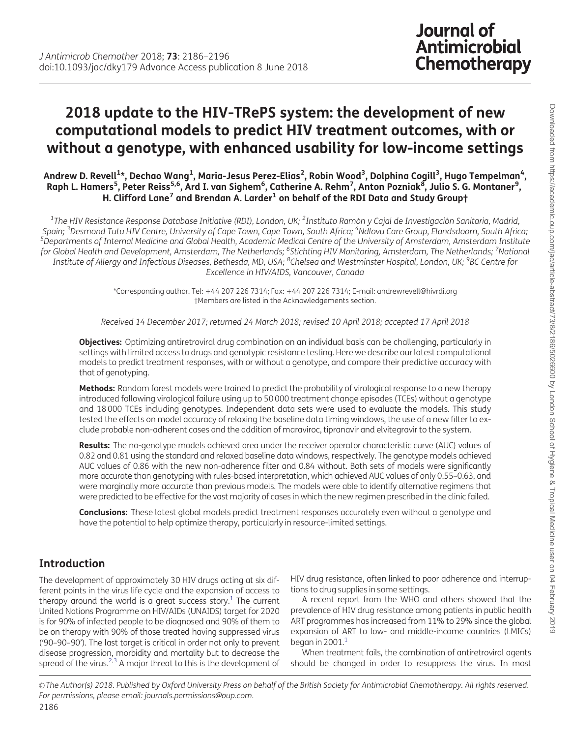# <span id="page-0-0"></span>2018 update to the HIV-TRePS system: the development of new computational models to predict HIV treatment outcomes, with or without a genotype, with enhanced usability for low-income settings

Andrew D. Revell<sup>1</sup>\*, Dechao Wang<sup>1</sup>, Maria-Jesus Perez-Elias<sup>2</sup>, Robin Wood<sup>3</sup>, Dolphina Cogill<sup>3</sup>, Hugo Tempelman<sup>4</sup>, Raph L. Hamers<sup>5</sup>, Peter Reiss<sup>5,6</sup>, Ard I. van Sighem<sup>6</sup>, Catherine A. Rehm<sup>7</sup>, Anton Pozniak<sup>8</sup>, Julio S. G. Montaner<sup>9</sup>, H. Clifford Lane<sup>7</sup> and Brendan A. Larder<sup>1</sup> on behalf of the RDI Data and Study Groupt

 $^{\rm 1}$ The HIV Resistance Response Database Initiative (RDI), London, UK;  $^{\rm 2}$ Instituto Ramón y Cajal de Investigación Sanitaria, Madrid, Spain; <sup>3</sup>Desmond Tutu HIV Centre, University of Cape Town, Cape Town, South Africa; <sup>4</sup>Ndlovu Care Group, Elandsdoorn, South Africa;<br><sup>5</sup>Departments of Internal Modicine and Global Health, Academic Modical Centre of the Un <sup>5</sup>Departments of Internal Medicine and Global Health, Academic Medical Centre of the University of Amsterdam, Amsterdam Institute for Global Health and Development, Amsterdam, The Netherlands; <sup>6</sup>Stichting HIV Monitoring, Amsterdam, The Netherlands; <sup>7</sup>National Institute of Allergy and Infectious Diseases, Bethesda, MD, USA; <sup>8</sup>Chelsea and Westminster Hospital, London, UK; <sup>9</sup>BC Centre for Excellence in HIV/AIDS, Vancouver, Canada

> \*Corresponding author. Tel: !44 207 226 7314; Fax: !44 207 226 7314; E-mail: andrewrevell@hivrdi.org †Members are listed in the Acknowledgements section.

Received 14 December 2017; returned 24 March 2018; revised 10 April 2018; accepted 17 April 2018

**Objectives:** Optimizing antiretroviral drug combination on an individual basis can be challenging, particularly in settings with limited access to drugs and genotypic resistance testing. Here we describe our latest computational models to predict treatment responses, with or without a genotype, and compare their predictive accuracy with that of genotyping.

Methods: Random forest models were trained to predict the probability of virological response to a new therapy introduced following virological failure using up to 50 000 treatment change episodes (TCEs) without a genotype and 18 000 TCEs including genotypes. Independent data sets were used to evaluate the models. This study tested the effects on model accuracy of relaxing the baseline data timing windows, the use of a new filter to exclude probable non-adherent cases and the addition of maraviroc, tipranavir and elvitegravir to the system.

Results: The no-genotype models achieved area under the receiver operator characteristic curve (AUC) values of 0.82 and 0.81 using the standard and relaxed baseline data windows, respectively. The genotype models achieved AUC values of 0.86 with the new non-adherence filter and 0.84 without. Both sets of models were significantly more accurate than genotyping with rules-based interpretation, which achieved AUC values of only 0.55–0.63, and were marginally more accurate than previous models. The models were able to identify alternative regimens that were predicted to be effective for the vast majority of cases in which the new regimen prescribed in the clinic failed.

Conclusions: These latest global models predict treatment responses accurately even without a genotype and have the potential to help optimize therapy, particularly in resource-limited settings.

# Introduction

The development of approximately 30 HIV drugs acting at six different points in the virus life cycle and the expansion of access to therapy around the world is a great success story. $1$  The current United Nations Programme on HIV/AIDs (UNAIDS) target for 2020 is for 90% of infected people to be diagnosed and 90% of them to be on therapy with 90% of those treated having suppressed virus ('90–90–90'). The last target is critical in order not only to prevent disease progression, morbidity and mortality but to decrease the spread of the virus.<sup>[2](#page-9-0),[3](#page-9-0)</sup> A major threat to this is the development of HIV drug resistance, often linked to poor adherence and interruptions to drug supplies in some settings.

A recent report from the WHO and others showed that the prevalence of HIV drug resistance among patients in public health ART programmes has increased from 11% to 29% since the global expansion of ART to low- and middle-income countries (LMICs) began in 2001. $1$ 

When treatment fails, the combination of antiretroviral agents should be changed in order to resuppress the virus. In most

V<sup>C</sup> The Author(s) 2018. Published by Oxford University Press on behalf of the British Society for Antimicrobial Chemotherapy. All rights reserved. For permissions, please email: journals.permissions@oup.com. 2186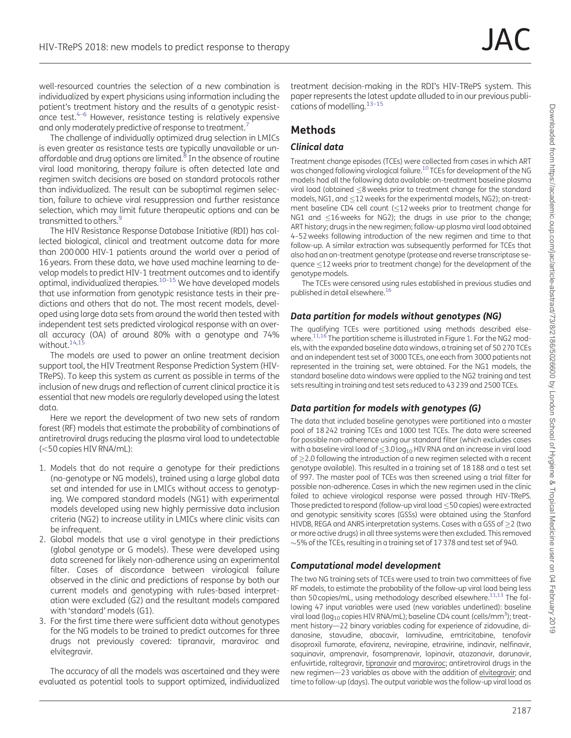<span id="page-1-0"></span>well-resourced countries the selection of a new combination is individualized by expert physicians using information including the patient's treatment history and the results of a genotypic resistance test. $4-6$  However, resistance testing is relatively expensive and only moderately predictive of response to treatment.<sup>[7](#page-9-0)</sup>

The challenge of individually optimized drug selection in LMICs is even greater as resistance tests are typically unavailable or un-affordable and drug options are limited.<sup>[8](#page-9-0)</sup> In the absence of routine viral load monitoring, therapy failure is often detected late and regimen switch decisions are based on standard protocols rather than individualized. The result can be suboptimal regimen selection, failure to achieve viral resuppression and further resistance selection, which may limit future therapeutic options and can be transmitted to others.<sup>9</sup>

The HIV Resistance Response Database Initiative (RDI) has collected biological, clinical and treatment outcome data for more than 200 000 HIV-1 patients around the world over a period of 16 years. From these data, we have used machine learning to develop models to predict HIV-1 treatment outcomes and to identify optimal, individualized therapies[.10–15](#page-9-0) We have developed models that use information from genotypic resistance tests in their predictions and others that do not. The most recent models, developed using large data sets from around the world then tested with independent test sets predicted virological response with an overall accuracy (OA) of around 80% with a genotype and 74% without.<sup>14,15</sup>

The models are used to power an online treatment decision support tool, the HIV Treatment Response Prediction System (HIV-TRePS). To keep this system as current as possible in terms of the inclusion of new drugs and reflection of current clinical practice it is essential that new models are regularly developed using the latest data.

Here we report the development of two new sets of random forest (RF) models that estimate the probability of combinations of antiretroviral drugs reducing the plasma viral load to undetectable (<50 copies HIV RNA/mL):

- 1. Models that do not require a genotype for their predictions (no-genotype or NG models), trained using a large global data set and intended for use in LMICs without access to genotyping. We compared standard models (NG1) with experimental models developed using new highly permissive data inclusion criteria (NG2) to increase utility in LMICs where clinic visits can be infrequent.
- 2. Global models that use a viral genotype in their predictions (global genotype or G models). These were developed using data screened for likely non-adherence using an experimental filter. Cases of discordance between virological failure observed in the clinic and predictions of response by both our current models and genotyping with rules-based interpretation were excluded (G2) and the resultant models compared with 'standard' models (G1).
- 3. For the first time there were sufficient data without genotypes for the NG models to be trained to predict outcomes for three drugs not previously covered: tipranavir, maraviroc and elvitegravir.

The accuracy of all the models was ascertained and they were evaluated as potential tools to support optimized, individualized

treatment decision-making in the RDI's HIV-TRePS system. This paper represents the latest update alluded to in our previous publications of modelling[.13](#page-9-0)–[15](#page-9-0)

# Methods

#### Clinical data

Treatment change episodes (TCEs) were collected from cases in which ART was changed following virological failure[.10](#page-9-0) TCEs for development of the NG models had all the following data available: on-treatment baseline plasma viral load (obtained  $\leq$ 8 weeks prior to treatment change for the standard models, NG1, and  $\leq$ 12 weeks for the experimental models, NG2); on-treatment baseline CD4 cell count ( $\leq$ 12 weeks prior to treatment change for NG1 and  $\leq$ 16 weeks for NG2); the drugs in use prior to the change; ART history; drugs in the new regimen; follow-up plasma viral load obtained 4–52 weeks following introduction of the new regimen and time to that follow-up. A similar extraction was subsequently performed for TCEs that also had an on-treatment genotype (protease and reverse transcriptase sequence  $\leq$ 12 weeks prior to treatment change) for the development of the genotype models.

The TCEs were censored using rules established in previous studies and published in detail elsewhere[.16](#page-9-0)

#### Data partition for models without genotypes (NG)

The qualifying TCEs were partitioned using methods described else-where.<sup>[11](#page-9-0),[16](#page-9-0)</sup> The partition scheme is illustrated in Figure [1](#page-2-0). For the NG2 models, with the expanded baseline data windows, a training set of 50 270 TCEs and an independent test set of 3000 TCEs, one each from 3000 patients not represented in the training set, were obtained. For the NG1 models, the standard baseline data windows were applied to the NG2 training and test sets resulting in training and test sets reduced to 43 239 and 2500 TCEs.

### Data partition for models with genotypes (G)

The data that included baseline genotypes were partitioned into a master pool of 18 242 training TCEs and 1000 test TCEs. The data were screened for possible non-adherence using our standard filter (which excludes cases with a baseline viral load of  $\leq$ 3.0 log $_{10}$  HIV RNA and an increase in viral load of  $\geq$  2.0 following the introduction of a new regimen selected with a recent genotype available). This resulted in a training set of 18 188 and a test set of 997. The master pool of TCEs was then screened using a trial filter for possible non-adherence. Cases in which the new regimen used in the clinic failed to achieve virological response were passed through HIV-TRePS. Those predicted to respond (follow-up viral load  $\leq$ 50 copies) were extracted and genotypic sensitivity scores (GSSs) were obtained using the Stanford HIVDB, REGA and ANRS interpretation systems. Cases with a GSS of  $\geq$ 2 (two or more active drugs) in all three systems were then excluded. This removed  $\sim$  5% of the TCEs, resulting in a training set of 17 378 and test set of 940.

### Computational model development

The two NG training sets of TCEs were used to train two committees of five RF models, to estimate the probability of the follow-up viral load being less than 50 copies/mL, using methodology described elsewhere.<sup>11,13</sup> The following 47 input variables were used (new variables underlined): baseline viral load (log<sub>10</sub> copies HIV RNA/mL); baseline CD4 count (cells/mm<sup>3</sup>); treatment history—22 binary variables coding for experience of zidovudine, didanosine, stavudine, abacavir, lamivudine, emtricitabine, tenofovir disoproxil fumarate, efavirenz, nevirapine, etravirine, indinavir, nelfinavir, saquinavir, amprenavir, fosamprenavir, lopinavir, atazanavir, darunavir, enfuvirtide, raltegravir, tipranavir and maraviroc; antiretroviral drugs in the new regimen—23 variables as above with the addition of elvitegravir; and time to follow-up (days). The output variable was the follow-up viral load as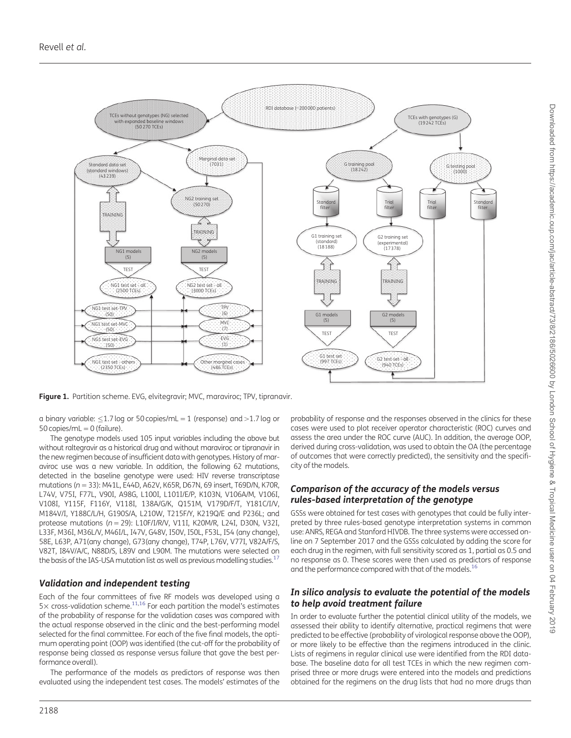<span id="page-2-0"></span>

Figure 1. Partition scheme. EVG, elvitegravir; MVC, maraviroc; TPV, tipranavir.

a binary variable:  $\leq$ 1.7 log or 50 copies/mL = 1 (response) and >1.7 log or 50 copies/mL  $= 0$  (failure).

The genotype models used 105 input variables including the above but without raltegravir as a historical drug and without maraviroc or tipranavir in the new regimen because of insufficient data with genotypes. History of maraviroc use was a new variable. In addition, the following 62 mutations, detected in the baseline genotype were used: HIV reverse transcriptase mutations ( $n = 33$ ): M41L, E44D, A62V, K65R, D67N, 69 insert, T69D/N, K70R, L74V, V75I, F77L, V90I, A98G, L100I, L101I/E/P, K103N, V106A/M, V106I, V108I, Y115F, F116Y, V118I, 138A/G/K, Q151M, V179D/F/T, Y181C/I/V, M184V/I, Y188C/L/H, G190S/A, L210W, T215F/Y, K219Q/E and P236L; and protease mutations (n = 29): L10F/I/R/V, V11I, K20M/R, L24I, D30N, V32I, L33F, M36I, M36L/V, M46I/L, I47V, G48V, I50V, I50L, F53L, I54 (any change), 58E, L63P, A71(any change), G73(any change), T74P, L76V, V77I, V82A/F/S, V82T, I84V/A/C, N88D/S, L89V and L90M. The mutations were selected on the basis of the IAS-USA mutation list as well as previous modelling studies.<sup>1</sup>

#### Validation and independent testing

Each of the four committees of five RF models was developed using a  $5 \times$  cross-validation scheme.<sup>11,16</sup> For each partition the model's estimates of the probability of response for the validation cases was compared with the actual response observed in the clinic and the best-performing model selected for the final committee. For each of the five final models, the optimum operating point (OOP) was identified (the cut-off for the probability of response being classed as response versus failure that gave the best performance overall).

The performance of the models as predictors of response was then evaluated using the independent test cases. The models' estimates of the

probability of response and the responses observed in the clinics for these cases were used to plot receiver operator characteristic (ROC) curves and assess the area under the ROC curve (AUC). In addition, the average OOP, derived during cross-validation, was used to obtain the OA (the percentage of outcomes that were correctly predicted), the sensitivity and the specificity of the models.

#### Comparison of the accuracy of the models versus rules-based interpretation of the genotype

GSSs were obtained for test cases with genotypes that could be fully interpreted by three rules-based genotype interpretation systems in common use: ANRS, REGA and Stanford HIVDB. The three systems were accessed online on 7 September 2017 and the GSSs calculated by adding the score for each drug in the regimen, with full sensitivity scored as 1, partial as 0.5 and no response as 0. These scores were then used as predictors of response and the performance compared with that of the models.<sup>[16](#page-9-0)</sup>

#### In silico analysis to evaluate the potential of the models to help avoid treatment failure

In order to evaluate further the potential clinical utility of the models, we assessed their ability to identify alternative, practical regimens that were predicted to be effective (probability of virological response above the OOP), or more likely to be effective than the regimens introduced in the clinic. Lists of regimens in regular clinical use were identified from the RDI database. The baseline data for all test TCEs in which the new regimen comprised three or more drugs were entered into the models and predictions obtained for the regimens on the drug lists that had no more drugs than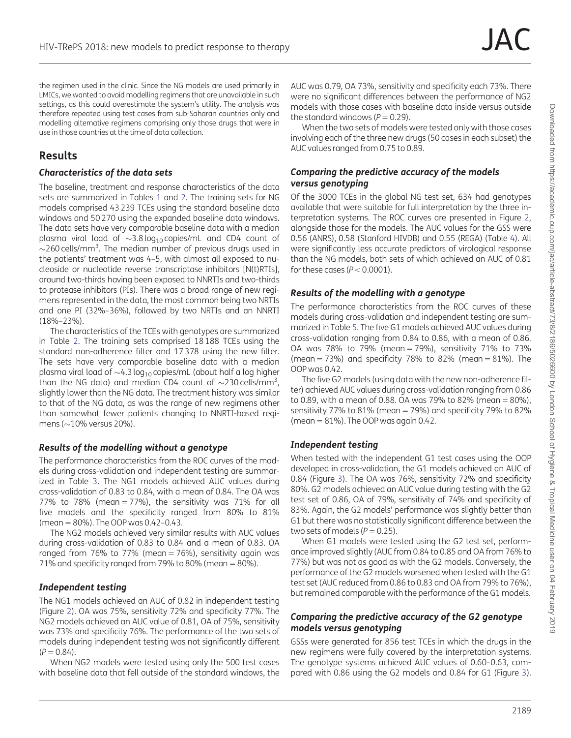the regimen used in the clinic. Since the NG models are used primarily in LMICs, we wanted to avoid modelling regimens that are unavailable in such settings, as this could overestimate the system's utility. The analysis was therefore repeated using test cases from sub-Saharan countries only and modelling alternative regimens comprising only those drugs that were in use in those countries at the time of data collection.

# Results

#### Characteristics of the data sets

The baseline, treatment and response characteristics of the data sets are summarized in Tables [1](#page-4-0) and [2](#page-5-0). The training sets for NG models comprised 43 239 TCEs using the standard baseline data windows and 50 270 using the expanded baseline data windows. The data sets have very comparable baseline data with a median plasma viral load of  $\sim$ 3.8 log<sub>10</sub> copies/mL and CD4 count of  $\sim$ 260 cells/mm<sup>3</sup>. The median number of previous drugs used in the patients' treatment was 4–5, with almost all exposed to nucleoside or nucleotide reverse transcriptase inhibitors [N(t)RTIs], around two-thirds having been exposed to NNRTIs and two-thirds to protease inhibitors (PIs). There was a broad range of new regimens represented in the data, the most common being two NRTIs and one PI (32%–36%), followed by two NRTIs and an NNRTI (18%–23%).

The characteristics of the TCEs with genotypes are summarized in Table [2.](#page-5-0) The training sets comprised 18 188 TCEs using the standard non-adherence filter and 17 378 using the new filter. The sets have very comparable baseline data with a median plasma viral load of  $\sim$ 4.3 log<sub>10</sub> copies/mL (about half a log higher than the NG data) and median CD4 count of  $\sim$ 230 cells/mm<sup>3</sup>, slightly lower than the NG data. The treatment history was similar to that of the NG data, as was the range of new regimens other than somewhat fewer patients changing to NNRTI-based regimens ( $\sim$ 10% versus 20%).

### Results of the modelling without a genotype

The performance characteristics from the ROC curves of the models during cross-validation and independent testing are summarized in Table [3.](#page-6-0) The NG1 models achieved AUC values during cross-validation of 0.83 to 0.84, with a mean of 0.84. The OA was 77% to 78% (mean  $= 77$ %), the sensitivity was 71% for all five models and the specificity ranged from 80% to 81% (mean  $= 80\%$ ). The OOP was 0.42–0.43.

The NG2 models achieved very similar results with AUC values during cross-validation of 0.83 to 0.84 and a mean of 0.83. OA ranged from 76% to 77% (mean  $= 76$ %), sensitivity again was 71% and specificity ranged from 79% to 80% (mean  $= 80$ %).

### Independent testing

The NG1 models achieved an AUC of 0.82 in independent testing (Figure [2\)](#page-6-0). OA was 75%, sensitivity 72% and specificity 77%. The NG2 models achieved an AUC value of 0.81, OA of 75%, sensitivity was 73% and specificity 76%. The performance of the two sets of models during independent testing was not significantly different  $(P = 0.84)$ .

When NG2 models were tested using only the 500 test cases with baseline data that fell outside of the standard windows, the

AUC was 0.79, OA 73%, sensitivity and specificity each 73%. There were no significant differences between the performance of NG2 models with those cases with baseline data inside versus outside the standard windows ( $P = 0.29$ ).

When the two sets of models were tested only with those cases involving each of the three new drugs (50 cases in each subset) the AUC values ranged from 0.75 to 0.89.

### Comparing the predictive accuracy of the models versus genotyping

Of the 3000 TCEs in the global NG test set, 634 had genotypes available that were suitable for full interpretation by the three interpretation systems. The ROC curves are presented in Figure [2,](#page-6-0) alongside those for the models. The AUC values for the GSS were 0.56 (ANRS), 0.58 (Stanford HIVDB) and 0.55 (REGA) (Table [4](#page-6-0)). All were significantly less accurate predictors of virological response than the NG models, both sets of which achieved an AUC of 0.81 for these cases ( $P < 0.0001$ ).

### Results of the modelling with a genotype

The performance characteristics from the ROC curves of these models during cross-validation and independent testing are summarized in Table [5.](#page-7-0) The five G1 models achieved AUC values during cross-validation ranging from 0.84 to 0.86, with a mean of 0.86. OA was 78% to 79% (mean = 79%), sensitivity 71% to 73% (mean  $= 73\%$ ) and specificity 78% to 82% (mean  $= 81\%$ ). The OOP was 0.42.

The five G2 models (using data with the new non-adherence filter) achieved AUC values during cross-validation ranging from 0.86 to 0.89, with a mean of 0.88. OA was 79% to 82% (mean = 80%), sensitivity 77% to 81% (mean  $=$  79%) and specificity 79% to 82% (mean  $= 81\%$ ). The OOP was again 0.42.

### Independent testing

When tested with the independent G1 test cases using the OOP developed in cross-validation, the G1 models achieved an AUC of 0.84 (Figure [3](#page-7-0)). The OA was 76%, sensitivity 72% and specificity 80%. G2 models achieved an AUC value during testing with the G2 test set of 0.86, OA of 79%, sensitivity of 74% and specificity of 83%. Again, the G2 models' performance was slightly better than G1 but there was no statistically significant difference between the two sets of models ( $P = 0.25$ ).

When G1 models were tested using the G2 test set, performance improved slightly (AUC from 0.84 to 0.85 and OA from 76% to 77%) but was not as good as with the G2 models. Conversely, the performance of the G2 models worsened when tested with the G1 test set (AUC reduced from 0.86 to 0.83 and OA from 79% to 76%), but remained comparable with the performance of the G1 models.

### Comparing the predictive accuracy of the G2 genotype models versus genotyping

GSSs were generated for 856 test TCEs in which the drugs in the new regimens were fully covered by the interpretation systems. The genotype systems achieved AUC values of 0.60–0.63, compared with 0.86 using the G2 models and 0.84 for G1 (Figure [3\)](#page-7-0).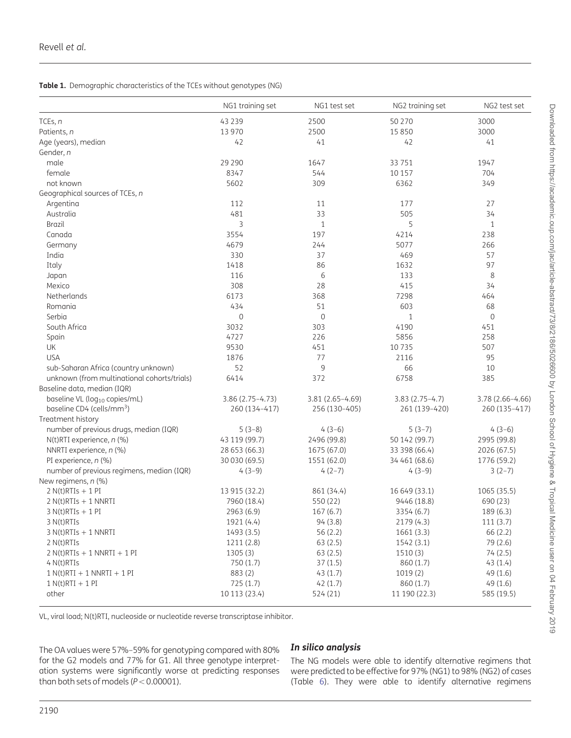#### <span id="page-4-0"></span>Table 1. Demographic characteristics of the TCEs without genotypes (NG)

|                                             | NG1 training set  | NG1 test set     | NG2 training set | NG2 test set        |
|---------------------------------------------|-------------------|------------------|------------------|---------------------|
| TCEs, n                                     | 43 2 3 9          | 2500             | 50 2 70          | 3000                |
| Patients, n                                 | 13 970            | 2500             | 15 8 50          | 3000                |
| Age (years), median                         | 42                | 41               | 42               | 41                  |
| Gender, n                                   |                   |                  |                  |                     |
| male                                        | 29 2 9 0          | 1647             | 33751            | 1947                |
| female                                      | 8347              | 544              | 10 157           | 704                 |
| not known                                   | 5602              | 309              | 6362             | 349                 |
| Geographical sources of TCEs, n             |                   |                  |                  |                     |
| Argentina                                   | 112               | 11               | 177              | 27                  |
| Australia                                   | 481               | 33               | 505              | 34                  |
| <b>Brazil</b>                               | 3                 | $\mathbf{1}$     | 5                | $\mathbf{1}$        |
| Canada                                      | 3554              | 197              | 4214             | 238                 |
| Germany                                     | 4679              | 244              | 5077             | 266                 |
| India                                       | 330               | 37               | 469              | 57                  |
| Italy                                       | 1418              | 86               | 1632             | 97                  |
| Japan                                       | 116               | 6                | 133              | 8                   |
| Mexico                                      | 308               | 28               | 415              | 34                  |
| Netherlands                                 | 6173              | 368              | 7298             | 464                 |
| Romania                                     | 434               | 51               | 603              | 68                  |
| Serbia                                      | $\mathbf 0$       | $\mathbf{0}$     | $\mathbf{1}$     | $\mathbf 0$         |
| South Africa                                | 3032              | 303              | 4190             | 451                 |
| Spain                                       | 4727              | 226              | 5856             | 258                 |
| UK                                          | 9530              | 451              | 10735            | 507                 |
| <b>USA</b>                                  | 1876              | 77               | 2116             | 95                  |
| sub-Saharan Africa (country unknown)        | 52                | 9                | 66               | 10                  |
| unknown (from multinational cohorts/trials) | 6414              | 372              | 6758             | 385                 |
| Baseline data, median (IQR)                 |                   |                  |                  |                     |
| baseline VL (log <sub>10</sub> copies/mL)   | $3.86(2.75-4.73)$ | 3.81 (2.65-4.69) | $3.83(2.75-4.7)$ | $3.78(2.66 - 4.66)$ |
| baseline CD4 (cells/mm <sup>3</sup> )       | 260 (134-417)     | 256 (130-405)    | 261 (139-420)    | 260 (135-417)       |
| Treatment history                           |                   |                  |                  |                     |
| number of previous drugs, median (IQR)      | $5(3-8)$          | $4(3-6)$         | $5(3-7)$         | $4(3-6)$            |
| N(t)RTI experience, n (%)                   | 43 119 (99.7)     | 2496 (99.8)      | 50 142 (99.7)    | 2995 (99.8)         |
| NNRTI experience, n (%)                     | 28 653 (66.3)     | 1675 (67.0)      | 33 398 (66.4)    | 2026 (67.5)         |
| PI experience, n (%)                        | 30 030 (69.5)     | 1551 (62.0)      | 34 461 (68.6)    | 1776 (59.2)         |
| number of previous regimens, median (IQR)   | $4(3-9)$          | $4(2-7)$         | $4(3-9)$         | $3(2-7)$            |
| New regimens, n (%)                         |                   |                  |                  |                     |
| $2 N(t)RTIs + 1 PI$                         | 13 915 (32.2)     | 861 (34.4)       | 16 649 (33.1)    | 1065 (35.5)         |
| $2 N(t)RTIs + 1 NNRTI$                      | 7960 (18.4)       | 550 (22)         | 9446 (18.8)      | 690 (23)            |
| $3 N(t)RTIs + 1 PI$                         | 2963 (6.9)        | 167 (6.7)        | 3354 (6.7)       | 189 (6.3)           |
| 3 N(t)RTIs                                  | 1921 (4.4)        | 94(3.8)          | 2179 (4.3)       | 111(3.7)            |
| $3 N(t)RTIs + 1 NNRTI$                      | 1493 (3.5)        | 56 (2.2)         | 1661 (3.3)       | 66 (2.2)            |
| 2 N(t)RTIs                                  | 1211 (2.8)        | 63 (2.5)         | 1542 (3.1)       | 79 (2.6)            |
| $2 N(t)$ RTIs + 1 NNRTI + 1 PI              | 1305(3)           | 63(2.5)          | 1510(3)          | 74(2.5)             |
| 4 N(t)RTIs                                  | 750 (1.7)         | 37(1.5)          | 860 (1.7)        | 43(1.4)             |
| $1 N(t)RTI + 1 NNRTI + 1 PI$                | 883 (2)           | 43(1.7)          | 1019(2)          | 49(1.6)             |
| $1 N(t)RTI + 1 PI$                          | 725 (1.7)         | 42(1.7)          | 860 (1.7)        | 49(1.6)             |
| other                                       | 10 113 (23.4)     | 524 (21)         | 11 190 (22.3)    | 585 (19.5)          |

VL, viral load; N(t)RTI, nucleoside or nucleotide reverse transcriptase inhibitor.

The OA values were 57%–59% for genotyping compared with 80% for the G2 models and 77% for G1. All three genotype interpretation systems were significantly worse at predicting responses than both sets of models ( $P < 0.00001$ ).

### In silico analysis

The NG models were able to identify alternative regimens that were predicted to be effective for 97% (NG1) to 98% (NG2) of cases (Table [6\)](#page-8-0). They were able to identify alternative regimens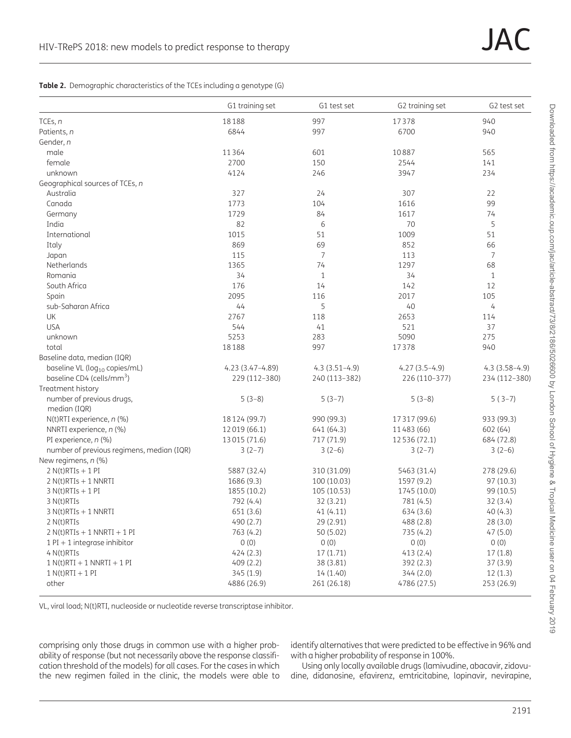<span id="page-5-0"></span>Table 2. Demographic characteristics of the TCEs including a genotype (G)

|                                           | G1 training set     | G1 test set     | G2 training set | G2 test set     |
|-------------------------------------------|---------------------|-----------------|-----------------|-----------------|
| TCEs, n                                   | 18188               | 997             | 17378           | 940             |
| Patients, n                               | 6844                | 997             | 6700            | 940             |
| Gender, n                                 |                     |                 |                 |                 |
| male                                      | 11364               | 601             | 10887           | 565             |
| female                                    | 2700                | 150             | 2544            | 141             |
| unknown                                   | 4124                | 246             | 3947            | 234             |
| Geographical sources of TCEs, n           |                     |                 |                 |                 |
| Australia                                 | 327                 | 24              | 307             | 22              |
| Canada                                    | 1773                | 104             | 1616            | 99              |
| Germany                                   | 1729                | 84              | 1617            | 74              |
| India                                     | 82                  | 6               | 70              | 5               |
| International                             | 1015                | 51              | 1009            | 51              |
| Italy                                     | 869                 | 69              | 852             | 66              |
| Japan                                     | 115                 | 7               | 113             | 7               |
| Netherlands                               | 1365                | 74              | 1297            | 68              |
| Romania                                   | 34                  | $\mathbf{1}$    | 34              | $\mathbf{1}$    |
| South Africa                              | 176                 | 14              | 142             | 12              |
| Spain                                     | 2095                | 116             | 2017            | 105             |
| sub-Saharan Africa                        | 44                  | 5               | 40              | 4               |
| UK                                        | 2767                | 118             | 2653            | 114             |
| <b>USA</b>                                | 544                 | 41              | 521             | 37              |
| unknown                                   | 5253                | 283             | 5090            | 275             |
| total                                     | 18188               | 997             | 17378           | 940             |
| Baseline data, median (IQR)               |                     |                 |                 |                 |
| baseline VL (log <sub>10</sub> copies/mL) | $4.23(3.47 - 4.89)$ | $4.3(3.51-4.9)$ | $4.27(3.5-4.9)$ | $4.3(3.58-4.9)$ |
| baseline CD4 (cells/mm <sup>3</sup> )     | 229 (112-380)       | 240 (113-382)   | 226 (110-377)   | 234 (112-380)   |
| Treatment history                         |                     |                 |                 |                 |
| number of previous drugs,<br>median (IQR) | $5(3-8)$            | $5(3-7)$        | $5(3-8)$        | $5(3-7)$        |
| N(t)RTI experience, n (%)                 | 18 124 (99.7)       | 990 (99.3)      | 17 317 (99.6)   | 933 (99.3)      |
| NNRTI experience, n (%)                   | 12 019 (66.1)       | 641 (64.3)      | 11483 (66)      | 602 (64)        |
| PI experience, n (%)                      | 13 015 (71.6)       | 717 (71.9)      | 12 536 (72.1)   | 684 (72.8)      |
| number of previous regimens, median (IQR) | $3(2-7)$            | $3(2-6)$        | $3(2-7)$        | $3(2-6)$        |
| New regimens, n (%)                       |                     |                 |                 |                 |
| $2 N(t)RTIs + 1 PI$                       | 5887 (32.4)         | 310 (31.09)     | 5463 (31.4)     | 278 (29.6)      |
| $2 N(t)RTIs + 1 NNRTI$                    | 1686 (9.3)          | 100 (10.03)     | 1597 (9.2)      | 97 (10.3)       |
| $3 N(t)RTIs + 1 PI$                       | 1855 (10.2)         | 105 (10.53)     | 1745 (10.0)     | 99 (10.5)       |
| 3 N(t)RTIs                                | 792 (4.4)           | 32 (3.21)       | 781 (4.5)       | 32 (3.4)        |
| 3 N(t)RTIs + 1 NNRTI                      | 651 (3.6)           | 41 (4.11)       | 634(3.6)        | 40(4.3)         |
| 2 N(t)RTIs                                | 490 (2.7)           | 29 (2.91)       | 488 (2.8)       | 28 (3.0)        |
| $2 N(t)RTIs + 1 NNRTI + 1 PI$             | 763 (4.2)           | 50 (5.02)       | 735 (4.2)       | 47(5.0)         |
| $1$ PI + 1 integrase inhibitor            | 0(0)                | 0(0)            | 0(0)            | 0(0)            |
| $4$ N(t)RTIs                              | 424(2.3)            | 17(1.71)        | 413(2.4)        | 17(1.8)         |
| $1 N(t)RTI + 1 NNRTI + 1 PI$              | 409 (2.2)           | 38 (3.81)       | 392 (2.3)       | 37 (3.9)        |
| $1 N(t)RTI + 1 PI$                        | 345 (1.9)           | 14 (1.40)       | 344(2.0)        | 12(1.3)         |
| other                                     | 4886 (26.9)         | 261 (26.18)     | 4786 (27.5)     | 253 (26.9)      |

VL, viral load; N(t)RTI, nucleoside or nucleotide reverse transcriptase inhibitor.

comprising only those drugs in common use with a higher probability of response (but not necessarily above the response classification threshold of the models) for all cases. For the cases in which the new regimen failed in the clinic, the models were able to identify alternatives that were predicted to be effective in 96% and with a higher probability of response in 100%.

Using only locally available drugs (lamivudine, abacavir, zidovudine, didanosine, efavirenz, emtricitabine, lopinavir, nevirapine,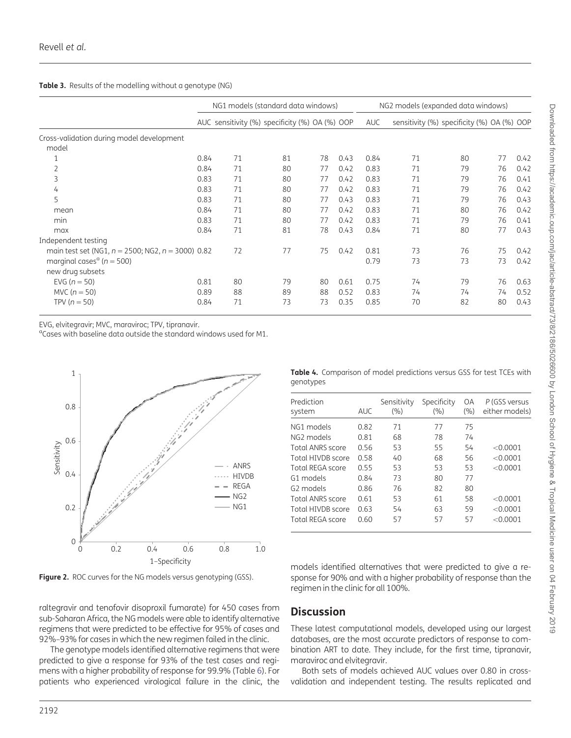<span id="page-6-0"></span>Table 3. Results of the modelling without a genotype (NG)

|                                                         | NG1 models (standard data windows) |                                                |    |    | NG2 models (expanded data windows) |            |                                            |    |    |      |
|---------------------------------------------------------|------------------------------------|------------------------------------------------|----|----|------------------------------------|------------|--------------------------------------------|----|----|------|
|                                                         |                                    | AUC sensitivity (%) specificity (%) OA (%) OOP |    |    |                                    | <b>AUC</b> | sensitivity (%) specificity (%) OA (%) OOP |    |    |      |
| Cross-validation during model development<br>model      |                                    |                                                |    |    |                                    |            |                                            |    |    |      |
| 1                                                       | 0.84                               | 71                                             | 81 | 78 | 0.43                               | 0.84       | 71                                         | 80 | 77 | 0.42 |
| $\overline{2}$                                          | 0.84                               | 71                                             | 80 | 77 | 0.42                               | 0.83       | 71                                         | 79 | 76 | 0.42 |
| 3                                                       | 0.83                               | 71                                             | 80 | 77 | 0.42                               | 0.83       | 71                                         | 79 | 76 | 0.41 |
| 4                                                       | 0.83                               | 71                                             | 80 | 77 | 0.42                               | 0.83       | 71                                         | 79 | 76 | 0.42 |
| 5                                                       | 0.83                               | 71                                             | 80 | 77 | 0.43                               | 0.83       | 71                                         | 79 | 76 | 0.43 |
| mean                                                    | 0.84                               | 71                                             | 80 | 77 | 0.42                               | 0.83       | 71                                         | 80 | 76 | 0.42 |
| min                                                     | 0.83                               | 71                                             | 80 | 77 | 0.42                               | 0.83       | 71                                         | 79 | 76 | 0.41 |
| max                                                     | 0.84                               | 71                                             | 81 | 78 | 0.43                               | 0.84       | 71                                         | 80 | 77 | 0.43 |
| Independent testing                                     |                                    |                                                |    |    |                                    |            |                                            |    |    |      |
| main test set (NG1, $n = 2500$ ; NG2, $n = 3000$ ) 0.82 |                                    | 72                                             | 77 | 75 | 0.42                               | 0.81       | 73                                         | 76 | 75 | 0.42 |
| marginal cases <sup><math>a</math></sup> ( $n = 500$ )  |                                    |                                                |    |    |                                    | 0.79       | 73                                         | 73 | 73 | 0.42 |
| new drug subsets                                        |                                    |                                                |    |    |                                    |            |                                            |    |    |      |
| EVG $(n = 50)$                                          | 0.81                               | 80                                             | 79 | 80 | 0.61                               | 0.75       | 74                                         | 79 | 76 | 0.63 |
| MVC ( $n = 50$ )                                        | 0.89                               | 88                                             | 89 | 88 | 0.52                               | 0.83       | 74                                         | 74 | 74 | 0.52 |
| TPV ( $n = 50$ )                                        | 0.84                               | 71                                             | 73 | 73 | 0.35                               | 0.85       | 70                                         | 82 | 80 | 0.43 |

EVG, elvitegravir; MVC, maraviroc; TPV, tipranavir.

<sup>a</sup>Cases with baseline data outside the standard windows used for M1.



Figure 2. ROC curves for the NG models versus genotyping (GSS).

Table 4. Comparison of model predictions versus GSS for test TCEs with genotypes

| Prediction<br>system   | AUC. | Sensitivity<br>(9/0) | Specificity<br>(9/0) | ΟA<br>(9/0) | P (GSS versus<br>either models) |
|------------------------|------|----------------------|----------------------|-------------|---------------------------------|
| NG1 models             | 0.82 | 71                   | 77                   | 75          |                                 |
| NG <sub>2</sub> models | 0.81 | 68                   | 78                   | 74          |                                 |
| Total ANRS score       | 0.56 | 53                   | 55                   | 54          | < 0.0001                        |
| Total HIVDB score      | 0.58 | 40                   | 68                   | 56          | < 0.0001                        |
| Total REGA score       | 0.55 | 53                   | 53                   | 53          | < 0.0001                        |
| G1 models              | 0.84 | 73                   | 80                   | 77          |                                 |
| G <sub>2</sub> models  | 0.86 | 76                   | 82                   | 80          |                                 |
| Total ANRS score       | 0.61 | 53                   | 61                   | 58          | < 0.0001                        |
| Total HIVDB score      | 0.63 | 54                   | 63                   | 59          | < 0.0001                        |
| Total REGA score       | 0.60 | 57                   | 57                   | 57          | < 0.0001                        |

models identified alternatives that were predicted to give a response for 90% and with a higher probability of response than the regimen in the clinic for all 100%.

raltegravir and tenofovir disoproxil fumarate) for 450 cases from sub-Saharan Africa, the NG models were able to identify alternative regimens that were predicted to be effective for 95% of cases and 92%–93% for cases in which the new regimen failed in the clinic.

The genotype models identified alternative regimens that were predicted to give a response for 93% of the test cases and regimens with a higher probability of response for 99.9% (Table [6\)](#page-8-0). For patients who experienced virological failure in the clinic, the

# **Discussion**

These latest computational models, developed using our largest databases, are the most accurate predictors of response to combination ART to date. They include, for the first time, tipranavir, maraviroc and elvitegravir.

Both sets of models achieved AUC values over 0.80 in crossvalidation and independent testing. The results replicated and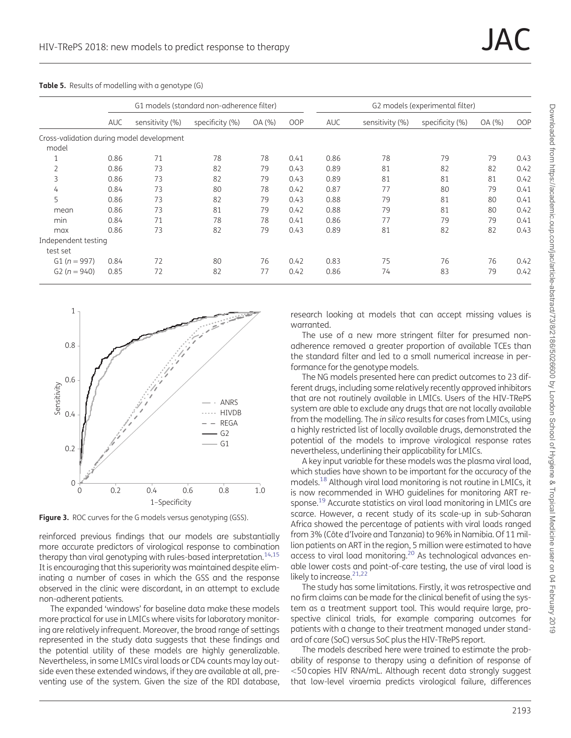<span id="page-7-0"></span>Table 5. Results of modelling with a genotype (G)

|                                           | G1 models (standard non-adherence filter) |                 |                 |        |            |            | G2 models (experimental filter) |                 |        |            |  |  |
|-------------------------------------------|-------------------------------------------|-----------------|-----------------|--------|------------|------------|---------------------------------|-----------------|--------|------------|--|--|
|                                           | <b>AUC</b>                                | sensitivity (%) | specificity (%) | OA (%) | <b>OOP</b> | <b>AUC</b> | sensitivity (%)                 | specificity (%) | OA (%) | <b>OOP</b> |  |  |
| Cross-validation during model development |                                           |                 |                 |        |            |            |                                 |                 |        |            |  |  |
| model                                     |                                           |                 |                 |        |            |            |                                 |                 |        |            |  |  |
| и                                         | 0.86                                      | 71              | 78              | 78     | 0.41       | 0.86       | 78                              | 79              | 79     | 0.43       |  |  |
| $\overline{2}$                            | 0.86                                      | 73              | 82              | 79     | 0.43       | 0.89       | 81                              | 82              | 82     | 0.42       |  |  |
| 3                                         | 0.86                                      | 73              | 82              | 79     | 0.43       | 0.89       | 81                              | 81              | 81     | 0.42       |  |  |
| 4                                         | 0.84                                      | 73              | 80              | 78     | 0.42       | 0.87       | 77                              | 80              | 79     | 0.41       |  |  |
| 5                                         | 0.86                                      | 73              | 82              | 79     | 0.43       | 0.88       | 79                              | 81              | 80     | 0.41       |  |  |
| mean                                      | 0.86                                      | 73              | 81              | 79     | 0.42       | 0.88       | 79                              | 81              | 80     | 0.42       |  |  |
| min                                       | 0.84                                      | 71              | 78              | 78     | 0.41       | 0.86       | 77                              | 79              | 79     | 0.41       |  |  |
| max                                       | 0.86                                      | 73              | 82              | 79     | 0.43       | 0.89       | 81                              | 82              | 82     | 0.43       |  |  |
| Independent testing                       |                                           |                 |                 |        |            |            |                                 |                 |        |            |  |  |
| test set                                  |                                           |                 |                 |        |            |            |                                 |                 |        |            |  |  |
| $G1(n = 997)$                             | 0.84                                      | 72              | 80              | 76     | 0.42       | 0.83       | 75                              | 76              | 76     | 0.42       |  |  |
| G2 $(n = 940)$                            | 0.85                                      | 72              | 82              | 77     | 0.42       | 0.86       | 74                              | 83              | 79     | 0.42       |  |  |



Figure 3. ROC curves for the G models versus genotyping (GSS).

reinforced previous findings that our models are substantially more accurate predictors of virological response to combination therapy than viral genotyping with rules-based interpretation.<sup>14,15</sup> It is encouraging that this superiority was maintained despite eliminating a number of cases in which the GSS and the response observed in the clinic were discordant, in an attempt to exclude non-adherent patients.

The expanded 'windows' for baseline data make these models more practical for use in LMICs where visits for laboratory monitoring are relatively infrequent. Moreover, the broad range of settings represented in the study data suggests that these findings and the potential utility of these models are highly generalizable. Nevertheless, in some LMICs viral loads or CD4 counts may lay outside even these extended windows, if they are available at all, preventing use of the system. Given the size of the RDI database, research looking at models that can accept missing values is warranted.

The use of a new more stringent filter for presumed nonadherence removed a greater proportion of available TCEs than the standard filter and led to a small numerical increase in performance for the genotype models.

The NG models presented here can predict outcomes to 23 different drugs, including some relatively recently approved inhibitors that are not routinely available in LMICs. Users of the HIV-TRePS system are able to exclude any drugs that are not locally available from the modelling. The in silico results for cases from LMICs, using a highly restricted list of locally available drugs, demonstrated the potential of the models to improve virological response rates nevertheless, underlining their applicability for LMICs.

A key input variable for these models was the plasma viral load, which studies have shown to be important for the accuracy of the models[.18](#page-9-0) Although viral load monitoring is not routine in LMICs, it is now recommended in WHO guidelines for monitoring ART re-sponse.<sup>[19](#page-9-0)</sup> Accurate statistics on viral load monitoring in LMICs are scarce. However, a recent study of its scale-up in sub-Saharan Africa showed the percentage of patients with viral loads ranged from 3% (Côte d'Ivoire and Tanzania) to 96% in Namibia. Of 11 million patients on ART in the region, 5 million were estimated to have access to viral load monitoring.<sup>20</sup> As technological advances enable lower costs and point-of-care testing, the use of viral load is likely to increase.<sup>21,22</sup>

The study has some limitations. Firstly, it was retrospective and no firm claims can be made for the clinical benefit of using the system as a treatment support tool. This would require large, prospective clinical trials, for example comparing outcomes for patients with a change to their treatment managed under standard of care (SoC) versus SoC plus the HIV-TRePS report.

The models described here were trained to estimate the probability of response to therapy using a definition of response of ,50 copies HIV RNA/mL. Although recent data strongly suggest that low-level viraemia predicts virological failure, differences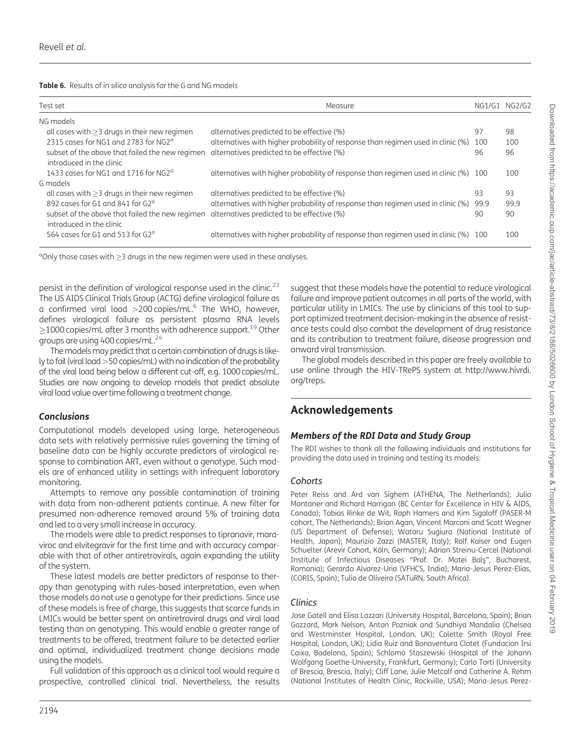<span id="page-8-0"></span>Table 6. Results of in silico analysis for the G and NG models

| Test set                                                                    | Measure                                                                              | NG1/G1 NG2/G2 |      |
|-----------------------------------------------------------------------------|--------------------------------------------------------------------------------------|---------------|------|
| NG models                                                                   |                                                                                      |               |      |
| all cases with $\geq$ 3 drugs in their new regimen                          | alternatives predicted to be effective (%)                                           | 97            | 98   |
| 2315 cases for NG1 and 2783 for NG2 <sup>a</sup>                            | alternatives with higher probability of response than regimen used in clinic (%)     | 100           | 100  |
| subset of the above that failed the new regimen<br>introduced in the clinic | alternatives predicted to be effective (%)                                           | 96            | 96   |
| 1433 cases for NG1 and 1716 for NG2 <sup>a</sup>                            | alternatives with higher probability of response than regimen used in clinic (%) 100 |               | 100  |
| G models                                                                    |                                                                                      |               |      |
| all cases with $>3$ drugs in their new regimen                              | alternatives predicted to be effective (%)                                           | 93            | 93   |
| 892 cases for G1 and 841 for G2 <sup>a</sup>                                | alternatives with higher probability of response than regimen used in clinic (%)     | 99.9          | 99.9 |
| subset of the above that failed the new regimen<br>introduced in the clinic | alternatives predicted to be effective (%)                                           | 90            | 90   |
| 564 cases for G1 and 513 for G2 $^{\circ}$                                  | alternatives with higher probability of response than regimen used in clinic (%) 100 |               | 100  |

 $^{\circ}$ Only those cases with  $\geq$ 3 drugs in the new regimen were used in these analyses.

persist in the definition of virological response used in the clinic.<sup>23</sup> The US AIDS Clinical Trials Group (ACTG) define virological failure as a confirmed viral load  $>$  200 copies/mL.<sup>6</sup> The WHO, however, defines virological failure as persistent plasma RNA levels  $\geq$ 1000 copies/mL after 3 months with adherence support.<sup>19</sup> Other groups are using 400 copies/mL.[24](#page-10-0)

The models may predict that a certain combination of drugs is likely to fail (viral load > 50 copies/mL) with no indication of the probability of the viral load being below a different cut-off, e.g. 1000 copies/mL. Studies are now ongoing to develop models that predict absolute viral load value over time following a treatment change.

### Conclusions

Computational models developed using large, heterogeneous data sets with relatively permissive rules governing the timing of baseline data can be highly accurate predictors of virological response to combination ART, even without a genotype. Such models are of enhanced utility in settings with infrequent laboratory monitoring.

Attempts to remove any possible contamination of training with data from non-adherent patients continue. A new filter for presumed non-adherence removed around 5% of training data and led to a very small increase in accuracy.

The models were able to predict responses to tipranavir, maraviroc and elvitegravir for the first time and with accuracy comparable with that of other antiretrovirals, again expanding the utility of the system.

These latest models are better predictors of response to therapy than genotyping with rules-based interpretation, even when those models do not use a genotype for their predictions. Since use of these models is free of charge, this suggests that scarce funds in LMICs would be better spent on antiretroviral drugs and viral load testing than on genotyping. This would enable a greater range of treatments to be offered, treatment failure to be detected earlier and optimal, individualized treatment change decisions made using the models.

Full validation of this approach as a clinical tool would require a prospective, controlled clinical trial. Nevertheless, the results suggest that these models have the potential to reduce virological failure and improve patient outcomes in all parts of the world, with particular utility in LMICs. The use by clinicians of this tool to support optimized treatment decision-making in the absence of resistance tests could also combat the development of drug resistance and its contribution to treatment failure, disease progression and onward viral transmission.

The global models described in this paper are freely available to use online through the HIV-TRePS system at [http://www.hivrdi.](http://www.hivrdi.org/treps) [org/treps.](http://www.hivrdi.org/treps)

# Acknowledgements

### Members of the RDI Data and Study Group

The RDI wishes to thank all the following individuals and institutions for providing the data used in training and testing its models:

### **Cohorts**

Peter Reiss and Ard van Sighem (ATHENA, The Netherlands); Julio Montaner and Richard Harrigan (BC Center for Excellence in HIV & AIDS, Canada); Tobias Rinke de Wit, Raph Hamers and Kim Sigaloff (PASER-M cohort, The Netherlands); Brian Agan, Vincent Marconi and Scott Wegner (US Department of Defense); Wataru Sugiura (National Institute of Health, Japan); Maurizio Zazzi (MASTER, Italy); Rolf Kaiser and Eugen Schuelter (Arevir Cohort, Köln, Germany); Adrian Streinu-Cercel (National Institute of Infectious Diseases "Prof. Dr. Matei Balş", Bucharest, Romania); Gerardo Alvarez-Uria (VFHCS, India); Maria-Jesus Perez-Elias, (CORIS, Spain); Tulio de Oliveira (SATuRN, South Africa).

#### Clinics

Jose Gatell and Elisa Lazzari (University Hospital, Barcelona, Spain); Brian Gazzard, Mark Nelson, Anton Pozniak and Sundhiya Mandalia (Chelsea and Westminster Hospital, London, UK); Colette Smith (Royal Free Hospital, London, UK); Lidia Ruiz and Bonaventura Clotet (Fundacion Irsi Caixa, Badelona, Spain); Schlomo Staszewski (Hospital of the Johann Wolfgang Goethe-University, Frankfurt, Germany); Carlo Torti (University of Brescia, Brescia, Italy); Cliff Lane, Julie Metcalf and Catherine A. Rehm (National Institutes of Health Clinic, Rockville, USA); Maria-Jesus Perez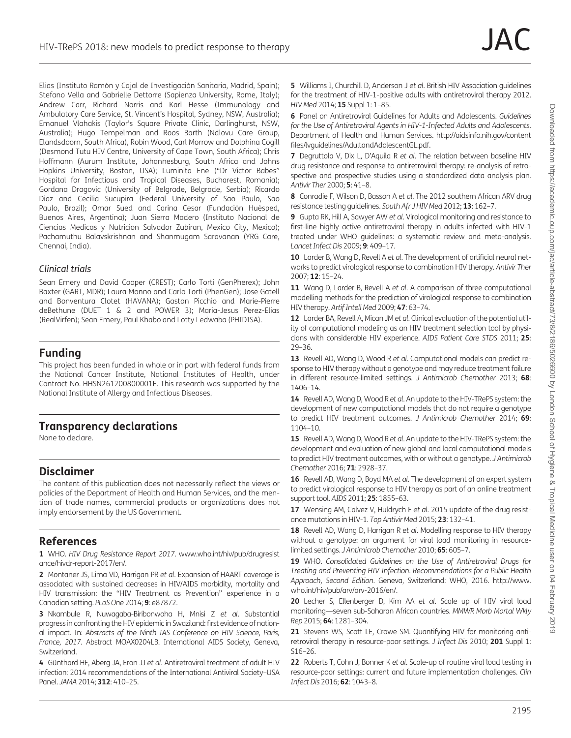<span id="page-9-0"></span>Elias (Instituto Ramón y Cajal de Investigación Sanitaria, Madrid, Spain); Stefano Vella and Gabrielle Dettorre (Sapienza University, Rome, Italy); Andrew Carr, Richard Norris and Karl Hesse (Immunology and Ambulatory Care Service, St. Vincent's Hospital, Sydney, NSW, Australia); Emanuel Vlahakis (Taylor's Square Private Clinic, Darlinghurst, NSW, Australia); Hugo Tempelman and Roos Barth (Ndlovu Care Group, Elandsdoorn, South Africa), Robin Wood, Carl Morrow and Dolphina Cogill (Desmond Tutu HIV Centre, University of Cape Town, South Africa); Chris Hoffmann (Aurum Institute, Johannesburg, South Africa and Johns Hopkins University, Boston, USA); Luminita Ene ("Dr Victor Babes" Hospital for Infectious and Tropical Diseases, Bucharest, Romania); Gordana Dragovic (University of Belgrade, Belgrade, Serbia); Ricardo Diaz and Cecilia Sucupira (Federal University of Sao Paulo, Sao Paulo, Brazil); Omar Sued and Carina Cesar (Fundación Huésped, Buenos Aires, Argentina); Juan Sierra Madero (Instituto Nacional de Ciencias Medicas y Nutricion Salvador Zubiran, Mexico City, Mexico); Pachamuthu Balavskrishnan and Shanmugam Saravanan (YRG Care, Chennai, India).

#### Clinical trials

Sean Emery and David Cooper (CREST); Carlo Torti (GenPherex); John Baxter (GART, MDR); Laura Monno and Carlo Torti (PhenGen); Jose Gatell and Bonventura Clotet (HAVANA); Gaston Picchio and Marie-Pierre deBethune (DUET 1 & 2 and POWER 3); Maria-Jesus Perez-Elias (RealVirfen); Sean Emery, Paul Khabo and Lotty Ledwaba (PHIDISA).

### Funding

This project has been funded in whole or in part with federal funds from the National Cancer Institute, National Institutes of Health, under Contract No. HHSN261200800001E. This research was supported by the National Institute of Allergy and Infectious Diseases.

# Transparency declarations

None to declare.

# Disclaimer

The content of this publication does not necessarily reflect the views or policies of the Department of Health and Human Services, and the mention of trade names, commercial products or organizations does not imply endorsement by the US Government.

# References

[1](#page-0-0) WHO. HIV Drug Resistance Report 2017. [www.who.int/hiv/pub/drugresist](http://www.who.int/hiv/pub/drugresistance/hivdr-report-2017/en/) [ance/hivdr-report-2017/en/](http://www.who.int/hiv/pub/drugresistance/hivdr-report-2017/en/).

[2](#page-0-0) Montaner JS, Lima VD, Harrigan PR et al. Expansion of HAART coverage is associated with sustained decreases in HIV/AIDS morbidity, mortality and HIV transmission: the "HIV Treatment as Prevention" experience in a Canadian setting. PLoS One 2014; 9: e87872.

[3](#page-0-0) Nkambule R, Nuwagaba-Biribonwoha H, Mnisi Z et al. Substantial progress in confronting the HIV epidemic in Swaziland: first evidence of national impact. In: Abstracts of the Ninth IAS Conference on HIV Science, Paris, France, 2017. Abstract MOAX0204LB. International AIDS Society, Geneva, Switzerland.

4 Günthard HF, Aberg JA, Eron JJ et al. Antiretroviral treatment of adult HIV infection: 2014 recommendations of the International Antiviral Society–USA Panel. JAMA 2014; 312: 410-25.

5 Williams I, Churchill D, Anderson J et al. British HIV Association guidelines for the treatment of HIV-1-positive adults with antiretroviral therapy 2012. HIV Med 2014; 15 Suppl 1: 1-85.

[6](#page-8-0) Panel on Antiretroviral Guidelines for Adults and Adolescents. Guidelines for the Use of Antiretroviral Agents in HIV-1-Infected Adults and Adolescents. Department of Health and Human Services. [http://aidsinfo.nih.gov/content](http://aidsinfo.nih.gov/contentfiles/lvguidelines/AdultandAdolescentGL.pdf) [files/lvguidelines/AdultandAdolescentGL.pdf](http://aidsinfo.nih.gov/contentfiles/lvguidelines/AdultandAdolescentGL.pdf).

[7](#page-1-0) Degruttola V, Dix L, D'Aquila R et al. The relation between baseline HIV drug resistance and response to antiretroviral therapy: re-analysis of retrospective and prospective studies using a standardized data analysis plan. Antivir Ther 2000; 5: 41–8.

[8](#page-1-0) Conradie F, Wilson D, Basson A et al. The 2012 southern African ARV drug resistance testing guidelines. South Afr J HIV Med 2012; 13: 162–7.

[9](#page-1-0) Gupta RK, Hill A, Sawyer AW et al. Virological monitoring and resistance to first-line highly active antiretroviral therapy in adults infected with HIV-1 treated under WHO guidelines: a systematic review and meta-analysis. Lancet Infect Dis 2009; 9: 409–17.

[10](#page-1-0) Larder B, Wang D, Revell A et al. The development of artificial neural networks to predict virological response to combination HIV therapy. Antivir Ther 2007; 12: 15–24.

[11](#page-1-0) Wang D, Larder B, Revell A et al. A comparison of three computational modelling methods for the prediction of virological response to combination HIV therapy. Artif Intell Med 2009; 47: 63–74.

12 Larder BA, Revell A, Mican JM et al. Clinical evaluation of the potential utility of computational modeling as an HIV treatment selection tool by physicians with considerable HIV experience. AIDS Patient Care STDS 2011; 25: 29–36.

[13](#page-1-0) Revell AD, Wang D, Wood R et al. Computational models can predict response to HIV therapy without a genotype and may reduce treatment failure in different resource-limited settings. J Antimicrob Chemother 2013; 68: 1406–14.

[14](#page-1-0) Revell AD, Wang D, Wood R et al. An update to the HIV-TRePS system: the development of new computational models that do not require a genotype to predict HIV treatment outcomes. J Antimicrob Chemother 2014; 69: 1104–10.

[15](#page-1-0) Revell AD, Wang D, Wood R et al. An update to the HIV-TRePS system: the development and evaluation of new global and local computational models to predict HIV treatment outcomes, with or without a genotype. J Antimicrob Chemother 2016; 71: 2928–37.

[16](#page-1-0) Revell AD, Wang D, Boyd MA et al. The development of an expert system to predict virological response to HIV therapy as part of an online treatment support tool. AIDS 2011; 25: 1855-63.

[17](#page-2-0) Wensing AM, Calvez V, Huldrych F et al. 2015 update of the drug resistance mutations in HIV-1. Top Antivir Med 2015; 23: 132–41.

[18](#page-7-0) Revell AD, Wang D, Harrigan R et al. Modelling response to HIV therapy without a genotype: an argument for viral load monitoring in resourcelimited settings. J Antimicrob Chemother 2010; 65: 605–7.

[19](#page-7-0) WHO. Consolidated Guidelines on the Use of Antiretroviral Drugs for Treating and Preventing HIV Infection. Recommendations for a Public Health Approach, Second Edition. Geneva, Switzerland: WHO, 2016. [http://www.](http://www.who.int/hiv/pub/arv/arv-2016/en/) [who.int/hiv/pub/arv/arv-2016/en/.](http://www.who.int/hiv/pub/arv/arv-2016/en/)

[20](#page-7-0) Lecher S, Ellenberger D, Kim AA et al. Scale up of HIV viral load monitoring—seven sub-Saharan African countries. MMWR Morb Mortal Wkly Rep 2015; 64: 1281–304.

[21](#page-7-0) Stevens WS, Scott LE, Crowe SM. Quantifying HIV for monitoring antiretroviral therapy in resource-poor settings. J Infect Dis 2010; 201 Suppl 1: S16–26.

[22](#page-7-0) Roberts T, Cohn J, Bonner K et al. Scale-up of routine viral load testing in resource-poor settings: current and future implementation challenges. Clin Infect Dis 2016; 62: 1043–8.